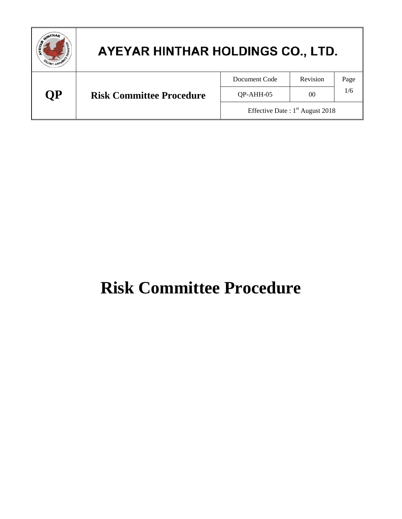| WINTHAM | AYEYAR HINTHAR HOLDINGS CO., LTD. |                                   |          |      |
|---------|-----------------------------------|-----------------------------------|----------|------|
|         |                                   | Document Code                     | Revision | Page |
| ОP      | <b>Risk Committee Procedure</b>   | QP-AHH-05                         | 00       | 1/6  |
|         |                                   | Effective Date: $1st$ August 2018 |          |      |

# **Risk Committee Procedure**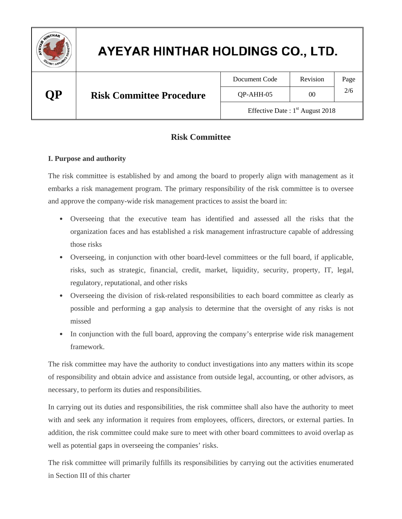

| Document Code                     | Revision | Page |  |
|-----------------------------------|----------|------|--|
| OP-AHH-05                         | 00       | 2/6  |  |
| Effective Date: $1st$ August 2018 |          |      |  |

#### **Risk Committee**

#### **I. Purpose and authority**

The risk committee is established by and among the board to properly align with management as it embarks a risk management program. The primary responsibility of the risk committee is to oversee and approve the company-wide risk management practices to assist the board in:

- Overseeing that the executive team has identified and assessed all the risks that the organization faces and has established a risk management infrastructure capable of addressing those risks
- Overseeing, in conjunction with other board-level committees or the full board, if applicable, risks, such as strategic, financial, credit, market, liquidity, security, property, IT, legal, regulatory, reputational, and other risks
- Overseeing the division of risk-related responsibilities to each board committee as clearly as possible and performing a gap analysis to determine that the oversight of any risks is not missed
- In conjunction with the full board, approving the company's enterprise wide risk management framework.

The risk committee may have the authority to conduct investigations into any matters within its scope of responsibility and obtain advice and assistance from outside legal, accounting, or other advisors, as necessary, to perform its duties and responsibilities.

In carrying out its duties and responsibilities, the risk committee shall also have the authority to meet with and seek any information it requires from employees, officers, directors, or external parties. In addition, the risk committee could make sure to meet with other board committees to avoid overlap as well as potential gaps in overseeing the companies' risks.

The risk committee will primarily fulfills its responsibilities by carrying out the activities enumerated in Section III of this charter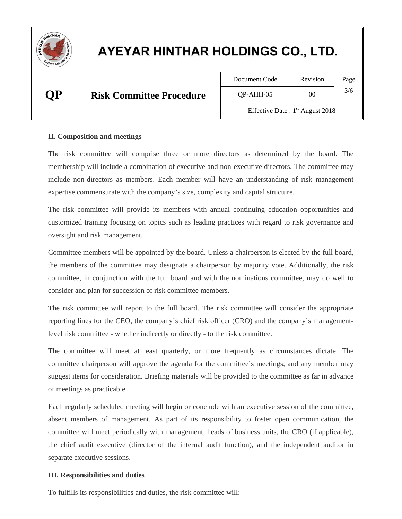

### **QP Risk Committee Procedure**

| Document Code |  |
|---------------|--|
|               |  |

Revision | Page  $QP-AHH-05$  00  $3/6$ 

Effective Date :  $1<sup>st</sup>$  August 2018

#### **II. Composition and meetings**

The risk committee will comprise three or more directors as determined by the board. The membership will include a combination of executive and non-executive directors. The committee may include non-directors as members. Each member will have an understanding of risk management expertise commensurate with the company's size, complexity and capital structure.

The risk committee will provide its members with annual continuing education opportunities and customized training focusing on topics such as leading practices with regard to risk governance and oversight and risk management.

Committee members will be appointed by the board. Unless a chairperson is elected by the full board, the members of the committee may designate a chairperson by majority vote. Additionally, the risk committee, in conjunction with the full board and with the nominations committee, may do well to consider and plan for succession of risk committee members.

The risk committee will report to the full board. The risk committee will consider the appropriate reporting lines for the CEO, the company's chief risk officer (CRO) and the company's managementlevel risk committee - whether indirectly or directly - to the risk committee.

The committee will meet at least quarterly, or more frequently as circumstances dictate. The committee chairperson will approve the agenda for the committee's meetings, and any member may suggest items for consideration. Briefing materials will be provided to the committee as far in advance of meetings as practicable.

Each regularly scheduled meeting will begin or conclude with an executive session of the committee, absent members of management. As part of its responsibility to foster open communication, the committee will meet periodically with management, heads of business units, the CRO (if applicable), the chief audit executive (director of the internal audit function), and the independent auditor in separate executive sessions.

#### **III. Responsibilities and duties**

To fulfills its responsibilities and duties, the risk committee will: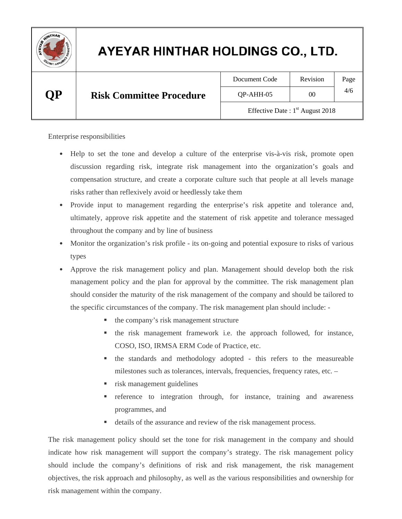

| Document Code                     | Revision | Page |  |
|-----------------------------------|----------|------|--|
| QP-AHH-05                         | 00       | 4/6  |  |
| Effective Date: $1st$ August 2018 |          |      |  |

Enterprise responsibilities

- Help to set the tone and develop a culture of the enterprise vis-à-vis risk, promote open discussion regarding risk, integrate risk management into the organization's goals and compensation structure, and create a corporate culture such that people at all levels manage risks rather than reflexively avoid or heedlessly take them
- Provide input to management regarding the enterprise's risk appetite and tolerance and, ultimately, approve risk appetite and the statement of risk appetite and tolerance messaged throughout the company and by line of business
- Monitor the organization's risk profile its on-going and potential exposure to risks of various types
- Approve the risk management policy and plan. Management should develop both the risk management policy and the plan for approval by the committee. The risk management plan should consider the maturity of the risk management of the company and should be tailored to the specific circumstances of the company. The risk management plan should include: -
	- the company's risk management structure
	- the risk management framework i.e. the approach followed, for instance, COSO, ISO, IRMSA ERM Code of Practice, etc.
	- the standards and methodology adopted this refers to the measureable milestones such as tolerances, intervals, frequencies, frequency rates, etc. –
	- risk management guidelines
	- reference to integration through, for instance, training and awareness programmes, and
	- details of the assurance and review of the risk management process.

The risk management policy should set the tone for risk management in the company and should indicate how risk management will support the company's strategy. The risk management policy should include the company's definitions of risk and risk management, the risk management objectives, the risk approach and philosophy, as well as the various responsibilities and ownership for risk management within the company.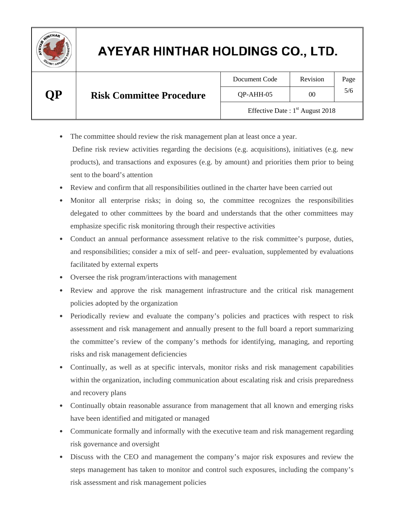

| Document Code                     | Revision | Page |  |
|-----------------------------------|----------|------|--|
| OP-AHH-05                         | ററ       | 5/6  |  |
| Effective Date: $1st$ August 2018 |          |      |  |

• The committee should review the risk management plan at least once a year.

 Define risk review activities regarding the decisions (e.g. acquisitions), initiatives (e.g. new products), and transactions and exposures (e.g. by amount) and priorities them prior to being sent to the board's attention

- Review and confirm that all responsibilities outlined in the charter have been carried out
- Monitor all enterprise risks; in doing so, the committee recognizes the responsibilities delegated to other committees by the board and understands that the other committees may emphasize specific risk monitoring through their respective activities
- Conduct an annual performance assessment relative to the risk committee's purpose, duties, and responsibilities; consider a mix of self- and peer- evaluation, supplemented by evaluations facilitated by external experts
- Oversee the risk program/interactions with management
- Review and approve the risk management infrastructure and the critical risk management policies adopted by the organization
- Periodically review and evaluate the company's policies and practices with respect to risk assessment and risk management and annually present to the full board a report summarizing the committee's review of the company's methods for identifying, managing, and reporting risks and risk management deficiencies
- Continually, as well as at specific intervals, monitor risks and risk management capabilities within the organization, including communication about escalating risk and crisis preparedness and recovery plans
- Continually obtain reasonable assurance from management that all known and emerging risks have been identified and mitigated or managed
- Communicate formally and informally with the executive team and risk management regarding risk governance and oversight
- Discuss with the CEO and management the company's major risk exposures and review the steps management has taken to monitor and control such exposures, including the company's risk assessment and risk management policies